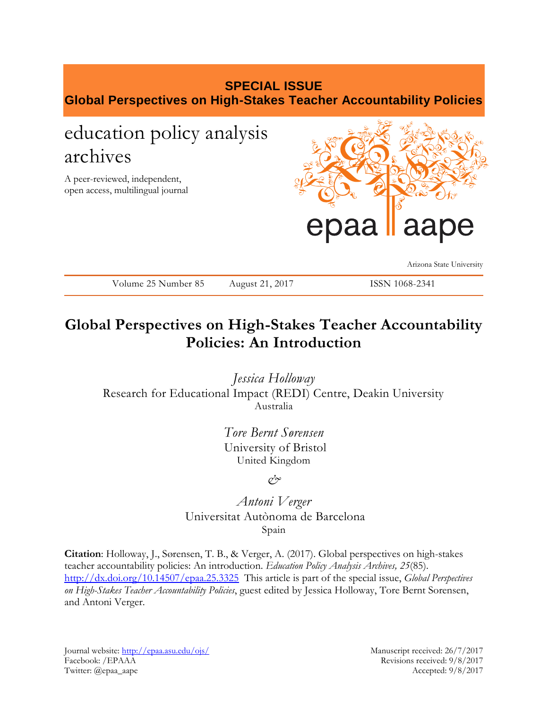# **SPECIAL ISSUE Global Perspectives on High-Stakes Teacher Accountability Policies**

# education policy analysis archives

A peer-reviewed, independent, open access, multilingual journal



Arizona State University

## ISSN 1068-2341

# **Global Perspectives on High-Stakes Teacher Accountability Policies: An Introduction**

*Jessica Holloway* Research for Educational Impact (REDI) Centre, Deakin University Australia

> *Tore Bernt Sørensen* University of Bristol United Kingdom

> > *&*

*Antoni Verger* Universitat Autònoma de Barcelona Spain

**Citation**: Holloway, J., Sørensen, T. B., & Verger, A. (2017). Global perspectives on high-stakes teacher accountability policies: An introduction. *Education Policy Analysis Archives, 25*(85). <http://dx.doi.org/10.14507/epaa.25.3325> This article is part of the special issue, *Global Perspectives on High-Stakes Teacher Accountability Policies*, guest edited by Jessica Holloway, Tore Bernt Sorensen, and Antoni Verger.

Journal website:<http://epaa.asu.edu/ojs/> Manuscript received: 26/7/2017 Facebook: /EPAAA Revisions received: 9/8/2017 Twitter: @epaa\_aape Accepted: 9/8/2017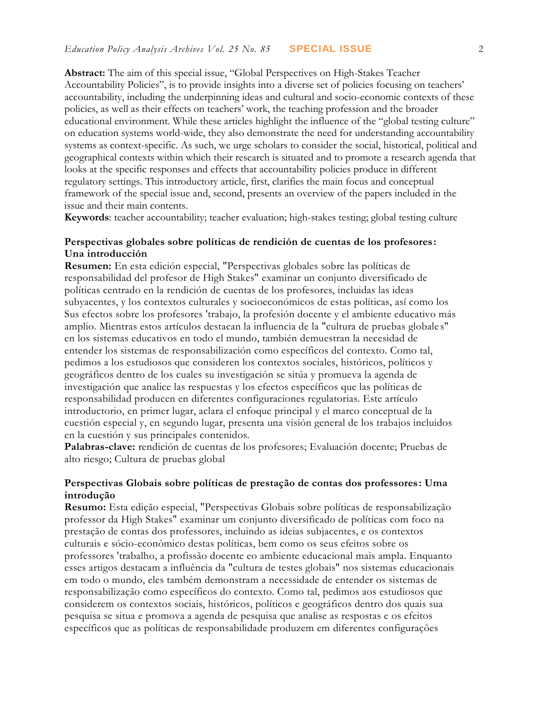**Abstract:** The aim of this special issue, "Global Perspectives on High-Stakes Teacher Accountability Policies", is to provide insights into a diverse set of policies focusing on teachers' accountability, including the underpinning ideas and cultural and socio-economic contexts of these policies, as well as their effects on teachers' work, the teaching profession and the broader educational environment. While these articles highlight the influence of the "global testing culture" on education systems world-wide, they also demonstrate the need for understanding accountability systems as context-specific. As such, we urge scholars to consider the social, historical, political and geographical contexts within which their research is situated and to promote a research agenda that looks at the specific responses and effects that accountability policies produce in different regulatory settings. This introductory article, first, clarifies the main focus and conceptual framework of the special issue and, second, presents an overview of the papers included in the issue and their main contents.

**Keywords**: teacher accountability; teacher evaluation; high-stakes testing; global testing culture

#### **Perspectivas globales sobre políticas de rendición de cuentas de los profesores : Una introducción**

**Resumen:** En esta edición especial, "Perspectivas globales sobre las políticas de responsabilidad del profesor de High Stakes" examinar un conjunto diversificado de políticas centrado en la rendición de cuentas de los profesores, incluidas las ideas subyacentes, y los contextos culturales y socioeconómicos de estas políticas, así como los Sus efectos sobre los profesores 'trabajo, la profesión docente y el ambiente educativo más amplio. Mientras estos artículos destacan la influencia de la "cultura de pruebas globale s" en los sistemas educativos en todo el mundo, también demuestran la necesidad de entender los sistemas de responsabilización como específicos del contexto. Como tal, pedimos a los estudiosos que consideren los contextos sociales, históricos, políticos y geográficos dentro de los cuales su investigación se sitúa y promueva la agenda de investigación que analice las respuestas y los efectos específicos que las políticas de responsabilidad producen en diferentes configuraciones regulatorias. Este artículo introductorio, en primer lugar, aclara el enfoque principal y el marco conceptual de la cuestión especial y, en segundo lugar, presenta una visión general de los trabajos incluidos en la cuestión y sus principales contenidos.

**Palabras-clave:** rendición de cuentas de los profesores; Evaluación docente; Pruebas de alto riesgo; Cultura de pruebas global

#### **Perspectivas Globais sobre políticas de prestação de contas dos professores: Uma introdução**

**Resumo:** Esta edição especial, "Perspectivas Globais sobre políticas de responsabilização professor da High Stakes" examinar um conjunto diversificado de políticas com foco na prestação de contas dos professores, incluindo as ideias subjacentes, e os contextos culturais e sócio-econômico destas políticas, bem como os seus efeitos sobre os professores 'trabalho, a profissão docente eo ambiente educacional mais ampla. Enquanto esses artigos destacam a influência da "cultura de testes globais" nos sistemas educacionais em todo o mundo, eles também demonstram a necessidade de entender os sistemas de responsabilização como específicos do contexto. Como tal, pedimos aos estudiosos que considerem os contextos sociais, históricos, políticos e geográficos dentro dos quais sua pesquisa se situa e promova a agenda de pesquisa que analise as respostas e os efeitos específicos que as políticas de responsabilidade produzem em diferentes configurações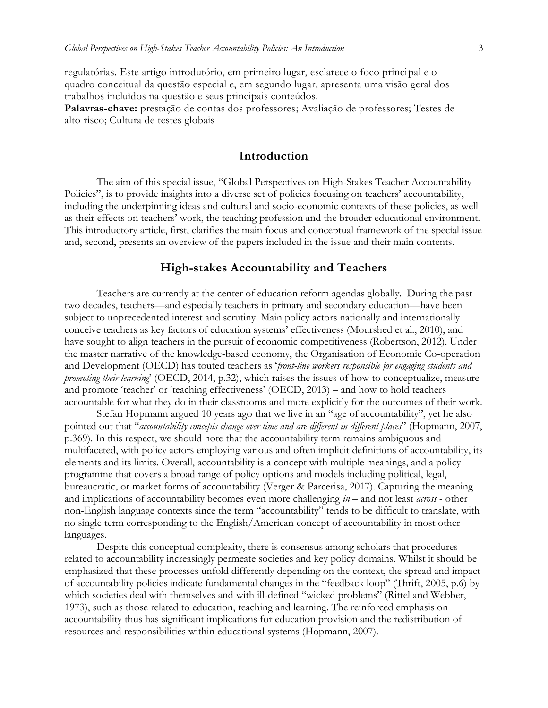regulatórias. Este artigo introdutório, em primeiro lugar, esclarece o foco principal e o quadro conceitual da questão especial e, em segundo lugar, apresenta uma visão geral dos trabalhos incluídos na questão e seus principais conteúdos.

**Palavras-chave:** prestação de contas dos professores; Avaliação de professores; Testes de alto risco; Cultura de testes globais

#### **Introduction**

The aim of this special issue, "Global Perspectives on High-Stakes Teacher Accountability Policies", is to provide insights into a diverse set of policies focusing on teachers' accountability, including the underpinning ideas and cultural and socio-economic contexts of these policies, as well as their effects on teachers' work, the teaching profession and the broader educational environment. This introductory article, first, clarifies the main focus and conceptual framework of the special issue and, second, presents an overview of the papers included in the issue and their main contents.

#### **High-stakes Accountability and Teachers**

Teachers are currently at the center of education reform agendas globally. During the past two decades, teachers—and especially teachers in primary and secondary education—have been subject to unprecedented interest and scrutiny. Main policy actors nationally and internationally conceive teachers as key factors of education systems' effectiveness (Mourshed et al., 2010), and have sought to align teachers in the pursuit of economic competitiveness (Robertson, 2012). Under the master narrative of the knowledge-based economy, the Organisation of Economic Co-operation and Development (OECD) has touted teachers as '*front-line workers responsible for engaging students and promoting their learning*' (OECD, 2014, p.32), which raises the issues of how to conceptualize, measure and promote 'teacher' or 'teaching effectiveness' (OECD, 2013) – and how to hold teachers accountable for what they do in their classrooms and more explicitly for the outcomes of their work.

Stefan Hopmann argued 10 years ago that we live in an "age of accountability", yet he also pointed out that "*accountability concepts change over time and are different in different places*" (Hopmann, 2007, p.369). In this respect, we should note that the accountability term remains ambiguous and multifaceted, with policy actors employing various and often implicit definitions of accountability, its elements and its limits. Overall, accountability is a concept with multiple meanings, and a policy programme that covers a broad range of policy options and models including political, legal, bureaucratic, or market forms of accountability (Verger & Parcerisa, 2017). Capturing the meaning and implications of accountability becomes even more challenging *in* – and not least *across* - other non-English language contexts since the term "accountability" tends to be difficult to translate, with no single term corresponding to the English/American concept of accountability in most other languages.

Despite this conceptual complexity, there is consensus among scholars that procedures related to accountability increasingly permeate societies and key policy domains. Whilst it should be emphasized that these processes unfold differently depending on the context, the spread and impact of accountability policies indicate fundamental changes in the "feedback loop" (Thrift, 2005, p.6) by which societies deal with themselves and with ill-defined "wicked problems" (Rittel and Webber, 1973), such as those related to education, teaching and learning. The reinforced emphasis on accountability thus has significant implications for education provision and the redistribution of resources and responsibilities within educational systems (Hopmann, 2007).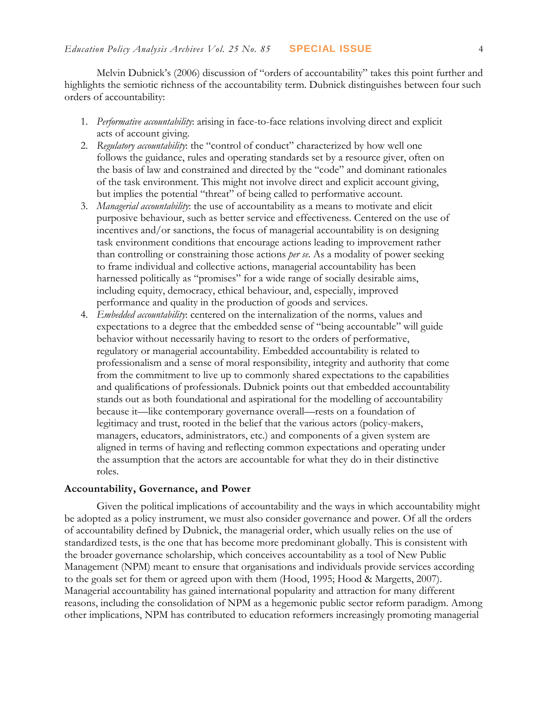Melvin Dubnick's (2006) discussion of "orders of accountability" takes this point further and highlights the semiotic richness of the accountability term. Dubnick distinguishes between four such orders of accountability:

- 1. *Performative accountability*: arising in face-to-face relations involving direct and explicit acts of account giving.
- 2. *Regulatory accountability*: the "control of conduct" characterized by how well one follows the guidance, rules and operating standards set by a resource giver, often on the basis of law and constrained and directed by the "code" and dominant rationales of the task environment. This might not involve direct and explicit account giving, but implies the potential "threat" of being called to performative account.
- 3. *Managerial accountability*: the use of accountability as a means to motivate and elicit purposive behaviour, such as better service and effectiveness. Centered on the use of incentives and/or sanctions, the focus of managerial accountability is on designing task environment conditions that encourage actions leading to improvement rather than controlling or constraining those actions *per se*. As a modality of power seeking to frame individual and collective actions, managerial accountability has been harnessed politically as "promises" for a wide range of socially desirable aims, including equity, democracy, ethical behaviour, and, especially, improved performance and quality in the production of goods and services.
- 4. *Embedded accountability*: centered on the internalization of the norms, values and expectations to a degree that the embedded sense of "being accountable" will guide behavior without necessarily having to resort to the orders of performative, regulatory or managerial accountability. Embedded accountability is related to professionalism and a sense of moral responsibility, integrity and authority that come from the commitment to live up to commonly shared expectations to the capabilities and qualifications of professionals. Dubnick points out that embedded accountability stands out as both foundational and aspirational for the modelling of accountability because it—like contemporary governance overall—rests on a foundation of legitimacy and trust, rooted in the belief that the various actors (policy-makers, managers, educators, administrators, etc.) and components of a given system are aligned in terms of having and reflecting common expectations and operating under the assumption that the actors are accountable for what they do in their distinctive roles.

#### **Accountability, Governance, and Power**

Given the political implications of accountability and the ways in which accountability might be adopted as a policy instrument, we must also consider governance and power. Of all the orders of accountability defined by Dubnick, the managerial order, which usually relies on the use of standardized tests, is the one that has become more predominant globally. This is consistent with the broader governance scholarship, which conceives accountability as a tool of New Public Management (NPM) meant to ensure that organisations and individuals provide services according to the goals set for them or agreed upon with them (Hood, 1995; Hood & Margetts, 2007). Managerial accountability has gained international popularity and attraction for many different reasons, including the consolidation of NPM as a hegemonic public sector reform paradigm. Among other implications, NPM has contributed to education reformers increasingly promoting managerial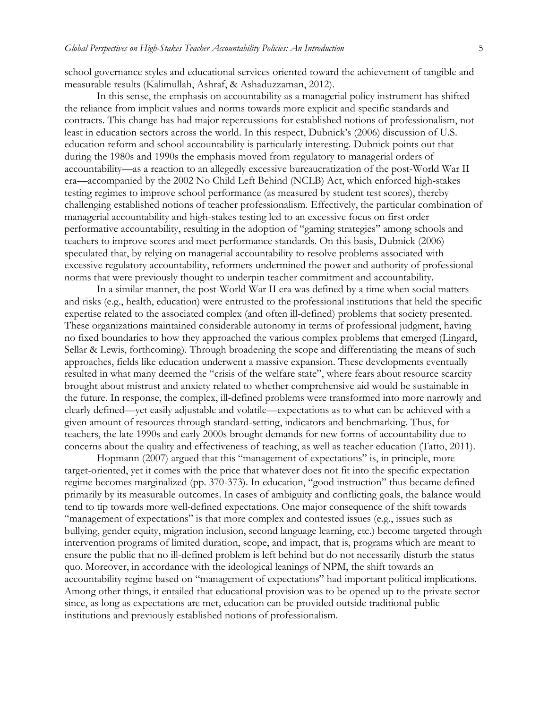school governance styles and educational services oriented toward the achievement of tangible and measurable results (Kalimullah, Ashraf, & Ashaduzzaman, 2012).

In this sense, the emphasis on accountability as a managerial policy instrument has shifted the reliance from implicit values and norms towards more explicit and specific standards and contracts. This change has had major repercussions for established notions of professionalism, not least in education sectors across the world. In this respect, Dubnick's (2006) discussion of U.S. education reform and school accountability is particularly interesting. Dubnick points out that during the 1980s and 1990s the emphasis moved from regulatory to managerial orders of accountability—as a reaction to an allegedly excessive bureaucratization of the post-World War II era—accompanied by the 2002 No Child Left Behind (NCLB) Act, which enforced high-stakes testing regimes to improve school performance (as measured by student test scores), thereby challenging established notions of teacher professionalism. Effectively, the particular combination of managerial accountability and high-stakes testing led to an excessive focus on first order performative accountability, resulting in the adoption of "gaming strategies" among schools and teachers to improve scores and meet performance standards. On this basis, Dubnick (2006) speculated that, by relying on managerial accountability to resolve problems associated with excessive regulatory accountability, reformers undermined the power and authority of professional norms that were previously thought to underpin teacher commitment and accountability.

In a similar manner, the post-World War II era was defined by a time when social matters and risks (e.g., health, education) were entrusted to the professional institutions that held the specific expertise related to the associated complex (and often ill-defined) problems that society presented. These organizations maintained considerable autonomy in terms of professional judgment, having no fixed boundaries to how they approached the various complex problems that emerged (Lingard, Sellar & Lewis, forthcoming). Through broadening the scope and differentiating the means of such approaches, fields like education underwent a massive expansion. These developments eventually resulted in what many deemed the "crisis of the welfare state", where fears about resource scarcity brought about mistrust and anxiety related to whether comprehensive aid would be sustainable in the future. In response, the complex, ill-defined problems were transformed into more narrowly and clearly defined—yet easily adjustable and volatile—expectations as to what can be achieved with a given amount of resources through standard-setting, indicators and benchmarking. Thus, for teachers, the late 1990s and early 2000s brought demands for new forms of accountability due to concerns about the quality and effectiveness of teaching, as well as teacher education (Tatto, 2011).

Hopmann (2007) argued that this "management of expectations" is, in principle, more target-oriented, yet it comes with the price that whatever does not fit into the specific expectation regime becomes marginalized (pp. 370-373). In education, "good instruction" thus became defined primarily by its measurable outcomes. In cases of ambiguity and conflicting goals, the balance would tend to tip towards more well-defined expectations. One major consequence of the shift towards "management of expectations" is that more complex and contested issues (e.g., issues such as bullying, gender equity, migration inclusion, second language learning, etc.) become targeted through intervention programs of limited duration, scope, and impact, that is, programs which are meant to ensure the public that no ill-defined problem is left behind but do not necessarily disturb the status quo. Moreover, in accordance with the ideological leanings of NPM, the shift towards an accountability regime based on "management of expectations" had important political implications. Among other things, it entailed that educational provision was to be opened up to the private sector since, as long as expectations are met, education can be provided outside traditional public institutions and previously established notions of professionalism.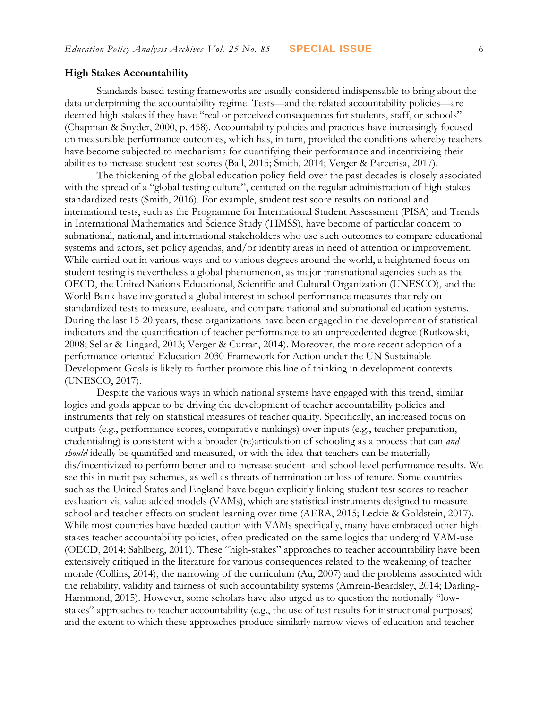#### **High Stakes Accountability**

Standards-based testing frameworks are usually considered indispensable to bring about the data underpinning the accountability regime. Tests—and the related accountability policies—are deemed high-stakes if they have "real or perceived consequences for students, staff, or schools" (Chapman & Snyder, 2000, p. 458). Accountability policies and practices have increasingly focused on measurable performance outcomes, which has, in turn, provided the conditions whereby teachers have become subjected to mechanisms for quantifying their performance and incentivizing their abilities to increase student test scores (Ball, 2015; Smith, 2014; Verger & Parcerisa, 2017).

The thickening of the global education policy field over the past decades is closely associated with the spread of a "global testing culture", centered on the regular administration of high-stakes standardized tests (Smith, 2016). For example, student test score results on national and international tests, such as the Programme for International Student Assessment (PISA) and Trends in International Mathematics and Science Study (TIMSS), have become of particular concern to subnational, national, and international stakeholders who use such outcomes to compare educational systems and actors, set policy agendas, and/or identify areas in need of attention or improvement. While carried out in various ways and to various degrees around the world, a heightened focus on student testing is nevertheless a global phenomenon, as major transnational agencies such as the OECD, the United Nations Educational, Scientific and Cultural Organization (UNESCO), and the World Bank have invigorated a global interest in school performance measures that rely on standardized tests to measure, evaluate, and compare national and subnational education systems. During the last 15-20 years, these organizations have been engaged in the development of statistical indicators and the quantification of teacher performance to an unprecedented degree (Rutkowski, 2008; Sellar & Lingard, 2013; Verger & Curran, 2014). Moreover, the more recent adoption of a performance-oriented Education 2030 Framework for Action under the UN Sustainable Development Goals is likely to further promote this line of thinking in development contexts (UNESCO, 2017).

Despite the various ways in which national systems have engaged with this trend, similar logics and goals appear to be driving the development of teacher accountability policies and instruments that rely on statistical measures of teacher quality. Specifically, an increased focus on outputs (e.g., performance scores, comparative rankings) over inputs (e.g., teacher preparation, credentialing) is consistent with a broader (re)articulation of schooling as a process that can *and should* ideally be quantified and measured, or with the idea that teachers can be materially dis/incentivized to perform better and to increase student- and school-level performance results. We see this in merit pay schemes, as well as threats of termination or loss of tenure. Some countries such as the United States and England have begun explicitly linking student test scores to teacher evaluation via value-added models (VAMs), which are statistical instruments designed to measure school and teacher effects on student learning over time (AERA, 2015; Leckie & Goldstein, 2017). While most countries have heeded caution with VAMs specifically, many have embraced other highstakes teacher accountability policies, often predicated on the same logics that undergird VAM-use (OECD, 2014; Sahlberg, 2011). These "high-stakes" approaches to teacher accountability have been extensively critiqued in the literature for various consequences related to the weakening of teacher morale (Collins, 2014), the narrowing of the curriculum (Au, 2007) and the problems associated with the reliability, validity and fairness of such accountability systems (Amrein-Beardsley, 2014; Darling-Hammond, 2015). However, some scholars have also urged us to question the notionally "lowstakes" approaches to teacher accountability (e.g., the use of test results for instructional purposes) and the extent to which these approaches produce similarly narrow views of education and teacher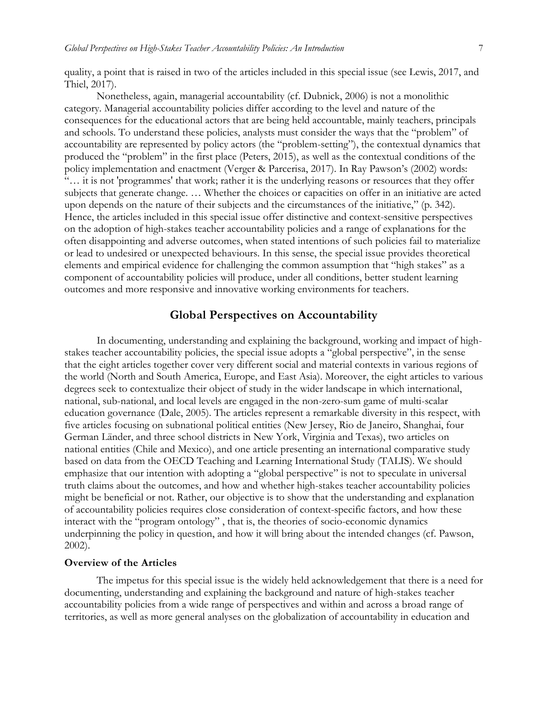quality, a point that is raised in two of the articles included in this special issue (see Lewis, 2017, and Thiel, 2017).

Nonetheless, again, managerial accountability (cf. Dubnick, 2006) is not a monolithic category. Managerial accountability policies differ according to the level and nature of the consequences for the educational actors that are being held accountable, mainly teachers, principals and schools. To understand these policies, analysts must consider the ways that the "problem" of accountability are represented by policy actors (the "problem-setting"), the contextual dynamics that produced the "problem" in the first place (Peters, 2015), as well as the contextual conditions of the policy implementation and enactment (Verger & Parcerisa, 2017). In Ray Pawson's (2002) words: "… it is not 'programmes' that work; rather it is the underlying reasons or resources that they offer subjects that generate change. … Whether the choices or capacities on offer in an initiative are acted upon depends on the nature of their subjects and the circumstances of the initiative," (p. 342). Hence, the articles included in this special issue offer distinctive and context-sensitive perspectives on the adoption of high-stakes teacher accountability policies and a range of explanations for the often disappointing and adverse outcomes, when stated intentions of such policies fail to materialize or lead to undesired or unexpected behaviours. In this sense, the special issue provides theoretical elements and empirical evidence for challenging the common assumption that "high stakes" as a component of accountability policies will produce, under all conditions, better student learning outcomes and more responsive and innovative working environments for teachers.

#### **Global Perspectives on Accountability**

In documenting, understanding and explaining the background, working and impact of highstakes teacher accountability policies, the special issue adopts a "global perspective", in the sense that the eight articles together cover very different social and material contexts in various regions of the world (North and South America, Europe, and East Asia). Moreover, the eight articles to various degrees seek to contextualize their object of study in the wider landscape in which international, national, sub-national, and local levels are engaged in the non-zero-sum game of multi-scalar education governance (Dale, 2005). The articles represent a remarkable diversity in this respect, with five articles focusing on subnational political entities (New Jersey, Rio de Janeiro, Shanghai, four German Länder, and three school districts in New York, Virginia and Texas), two articles on national entities (Chile and Mexico), and one article presenting an international comparative study based on data from the OECD Teaching and Learning International Study (TALIS). We should emphasize that our intention with adopting a "global perspective" is not to speculate in universal truth claims about the outcomes, and how and whether high-stakes teacher accountability policies might be beneficial or not. Rather, our objective is to show that the understanding and explanation of accountability policies requires close consideration of context-specific factors, and how these interact with the "program ontology" , that is, the theories of socio-economic dynamics underpinning the policy in question, and how it will bring about the intended changes (cf. Pawson, 2002).

#### **Overview of the Articles**

The impetus for this special issue is the widely held acknowledgement that there is a need for documenting, understanding and explaining the background and nature of high-stakes teacher accountability policies from a wide range of perspectives and within and across a broad range of territories, as well as more general analyses on the globalization of accountability in education and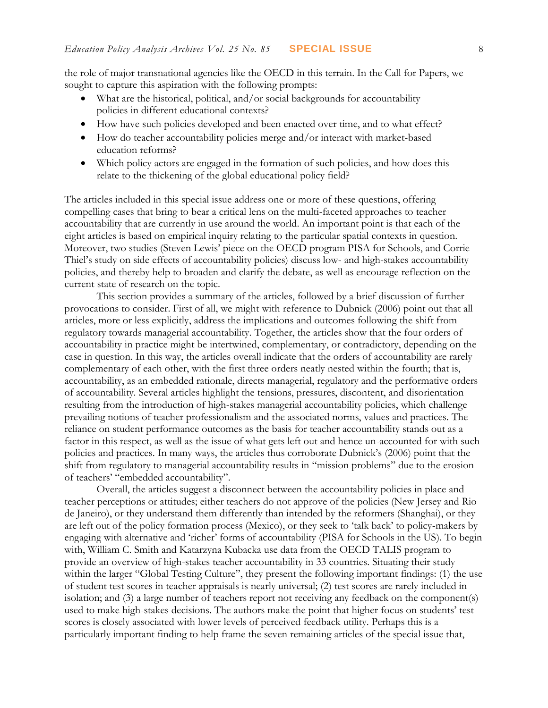the role of major transnational agencies like the OECD in this terrain. In the Call for Papers, we sought to capture this aspiration with the following prompts:

- What are the historical, political, and/or social backgrounds for accountability policies in different educational contexts?
- How have such policies developed and been enacted over time, and to what effect?
- How do teacher accountability policies merge and/or interact with market-based education reforms?
- Which policy actors are engaged in the formation of such policies, and how does this relate to the thickening of the global educational policy field?

The articles included in this special issue address one or more of these questions, offering compelling cases that bring to bear a critical lens on the multi-faceted approaches to teacher accountability that are currently in use around the world. An important point is that each of the eight articles is based on empirical inquiry relating to the particular spatial contexts in question. Moreover, two studies (Steven Lewis' piece on the OECD program PISA for Schools, and Corrie Thiel's study on side effects of accountability policies) discuss low- and high-stakes accountability policies, and thereby help to broaden and clarify the debate, as well as encourage reflection on the current state of research on the topic.

This section provides a summary of the articles, followed by a brief discussion of further provocations to consider. First of all, we might with reference to Dubnick (2006) point out that all articles, more or less explicitly, address the implications and outcomes following the shift from regulatory towards managerial accountability. Together, the articles show that the four orders of accountability in practice might be intertwined, complementary, or contradictory, depending on the case in question. In this way, the articles overall indicate that the orders of accountability are rarely complementary of each other, with the first three orders neatly nested within the fourth; that is, accountability, as an embedded rationale, directs managerial, regulatory and the performative orders of accountability. Several articles highlight the tensions, pressures, discontent, and disorientation resulting from the introduction of high-stakes managerial accountability policies, which challenge prevailing notions of teacher professionalism and the associated norms, values and practices. The reliance on student performance outcomes as the basis for teacher accountability stands out as a factor in this respect, as well as the issue of what gets left out and hence un-accounted for with such policies and practices. In many ways, the articles thus corroborate Dubnick's (2006) point that the shift from regulatory to managerial accountability results in "mission problems" due to the erosion of teachers' "embedded accountability".

Overall, the articles suggest a disconnect between the accountability policies in place and teacher perceptions or attitudes; either teachers do not approve of the policies (New Jersey and Rio de Janeiro), or they understand them differently than intended by the reformers (Shanghai), or they are left out of the policy formation process (Mexico), or they seek to 'talk back' to policy-makers by engaging with alternative and 'richer' forms of accountability (PISA for Schools in the US). To begin with, William C. Smith and Katarzyna Kubacka use data from the OECD TALIS program to provide an overview of high-stakes teacher accountability in 33 countries. Situating their study within the larger "Global Testing Culture", they present the following important findings: (1) the use of student test scores in teacher appraisals is nearly universal; (2) test scores are rarely included in isolation; and (3) a large number of teachers report not receiving any feedback on the component(s) used to make high-stakes decisions. The authors make the point that higher focus on students' test scores is closely associated with lower levels of perceived feedback utility. Perhaps this is a particularly important finding to help frame the seven remaining articles of the special issue that,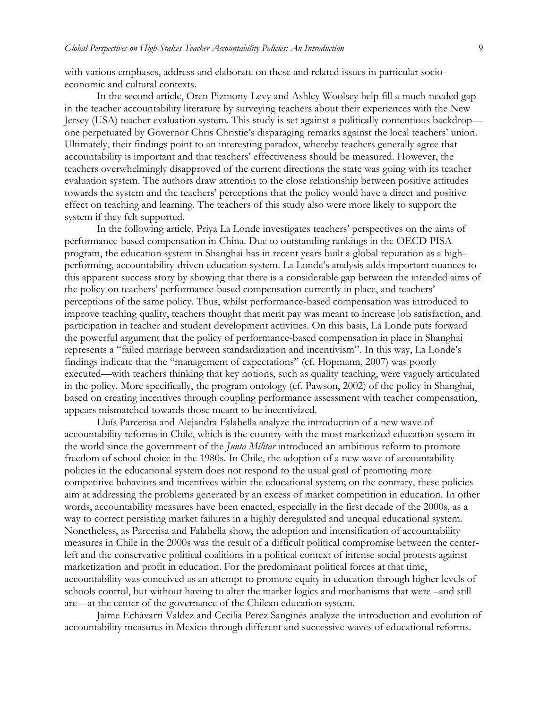with various emphases, address and elaborate on these and related issues in particular socioeconomic and cultural contexts.

In the second article, Oren Pizmony-Levy and Ashley Woolsey help fill a much-needed gap in the teacher accountability literature by surveying teachers about their experiences with the New Jersey (USA) teacher evaluation system. This study is set against a politically contentious backdrop one perpetuated by Governor Chris Christie's disparaging remarks against the local teachers' union. Ultimately, their findings point to an interesting paradox, whereby teachers generally agree that accountability is important and that teachers' effectiveness should be measured. However, the teachers overwhelmingly disapproved of the current directions the state was going with its teacher evaluation system. The authors draw attention to the close relationship between positive attitudes towards the system and the teachers' perceptions that the policy would have a direct and positive effect on teaching and learning. The teachers of this study also were more likely to support the system if they felt supported.

In the following article, Priya La Londe investigates teachers' perspectives on the aims of performance-based compensation in China. Due to outstanding rankings in the OECD PISA program, the education system in Shanghai has in recent years built a global reputation as a highperforming, accountability-driven education system. La Londe's analysis adds important nuances to this apparent success story by showing that there is a considerable gap between the intended aims of the policy on teachers' performance-based compensation currently in place, and teachers' perceptions of the same policy. Thus, whilst performance-based compensation was introduced to improve teaching quality, teachers thought that merit pay was meant to increase job satisfaction, and participation in teacher and student development activities. On this basis, La Londe puts forward the powerful argument that the policy of performance-based compensation in place in Shanghai represents a "failed marriage between standardization and incentivism". In this way, La Londe's findings indicate that the "management of expectations" (cf. Hopmann, 2007) was poorly executed—with teachers thinking that key notions, such as quality teaching, were vaguely articulated in the policy. More specifically, the program ontology (cf. Pawson, 2002) of the policy in Shanghai, based on creating incentives through coupling performance assessment with teacher compensation, appears mismatched towards those meant to be incentivized.

Lluís Parcerisa and Alejandra Falabella analyze the introduction of a new wave of accountability reforms in Chile, which is the country with the most marketized education system in the world since the government of the *Junta Militar* introduced an ambitious reform to promote freedom of school choice in the 1980s. In Chile, the adoption of a new wave of accountability policies in the educational system does not respond to the usual goal of promoting more competitive behaviors and incentives within the educational system; on the contrary, these policies aim at addressing the problems generated by an excess of market competition in education. In other words, accountability measures have been enacted, especially in the first decade of the 2000s, as a way to correct persisting market failures in a highly deregulated and unequal educational system. Nonetheless, as Parcerisa and Falabella show, the adoption and intensification of accountability measures in Chile in the 2000s was the result of a difficult political compromise between the centerleft and the conservative political coalitions in a political context of intense social protests against marketization and profit in education. For the predominant political forces at that time, accountability was conceived as an attempt to promote equity in education through higher levels of schools control, but without having to alter the market logics and mechanisms that were –and still are—at the center of the governance of the Chilean education system.

Jaime Echávarri Valdez and Cecilia Perez Sanginés analyze the introduction and evolution of accountability measures in Mexico through different and successive waves of educational reforms.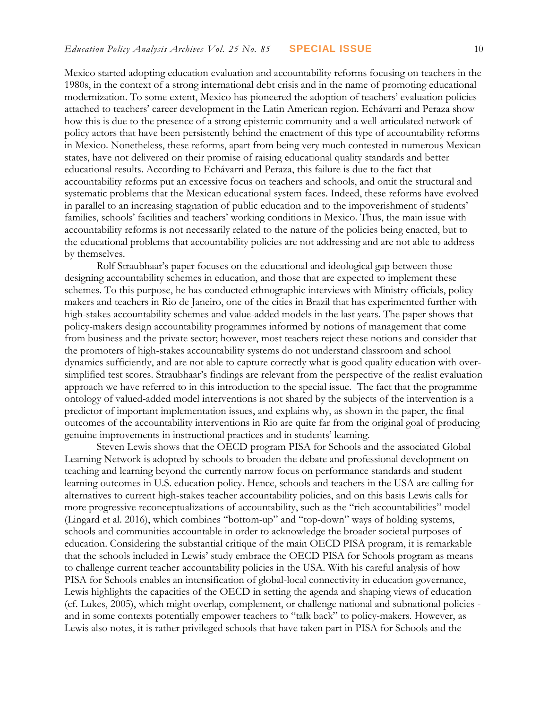Mexico started adopting education evaluation and accountability reforms focusing on teachers in the 1980s, in the context of a strong international debt crisis and in the name of promoting educational modernization. To some extent, Mexico has pioneered the adoption of teachers' evaluation policies attached to teachers' career development in the Latin American region. Echávarri and Peraza show how this is due to the presence of a strong epistemic community and a well-articulated network of policy actors that have been persistently behind the enactment of this type of accountability reforms in Mexico. Nonetheless, these reforms, apart from being very much contested in numerous Mexican states, have not delivered on their promise of raising educational quality standards and better educational results. According to Echávarri and Peraza, this failure is due to the fact that accountability reforms put an excessive focus on teachers and schools, and omit the structural and systematic problems that the Mexican educational system faces. Indeed, these reforms have evolved in parallel to an increasing stagnation of public education and to the impoverishment of students' families, schools' facilities and teachers' working conditions in Mexico. Thus, the main issue with accountability reforms is not necessarily related to the nature of the policies being enacted, but to the educational problems that accountability policies are not addressing and are not able to address by themselves.

Rolf Straubhaar's paper focuses on the educational and ideological gap between those designing accountability schemes in education, and those that are expected to implement these schemes. To this purpose, he has conducted ethnographic interviews with Ministry officials, policymakers and teachers in Rio de Janeiro, one of the cities in Brazil that has experimented further with high-stakes accountability schemes and value-added models in the last years. The paper shows that policy-makers design accountability programmes informed by notions of management that come from business and the private sector; however, most teachers reject these notions and consider that the promoters of high-stakes accountability systems do not understand classroom and school dynamics sufficiently, and are not able to capture correctly what is good quality education with oversimplified test scores. Straubhaar's findings are relevant from the perspective of the realist evaluation approach we have referred to in this introduction to the special issue. The fact that the programme ontology of valued-added model interventions is not shared by the subjects of the intervention is a predictor of important implementation issues, and explains why, as shown in the paper, the final outcomes of the accountability interventions in Rio are quite far from the original goal of producing genuine improvements in instructional practices and in students' learning.

Steven Lewis shows that the OECD program PISA for Schools and the associated Global Learning Network is adopted by schools to broaden the debate and professional development on teaching and learning beyond the currently narrow focus on performance standards and student learning outcomes in U.S. education policy. Hence, schools and teachers in the USA are calling for alternatives to current high-stakes teacher accountability policies, and on this basis Lewis calls for more progressive reconceptualizations of accountability, such as the "rich accountabilities" model (Lingard et al. 2016), which combines "bottom-up" and "top-down" ways of holding systems, schools and communities accountable in order to acknowledge the broader societal purposes of education. Considering the substantial critique of the main OECD PISA program, it is remarkable that the schools included in Lewis' study embrace the OECD PISA for Schools program as means to challenge current teacher accountability policies in the USA. With his careful analysis of how PISA for Schools enables an intensification of global-local connectivity in education governance, Lewis highlights the capacities of the OECD in setting the agenda and shaping views of education (cf. Lukes, 2005), which might overlap, complement, or challenge national and subnational policies and in some contexts potentially empower teachers to "talk back" to policy-makers. However, as Lewis also notes, it is rather privileged schools that have taken part in PISA for Schools and the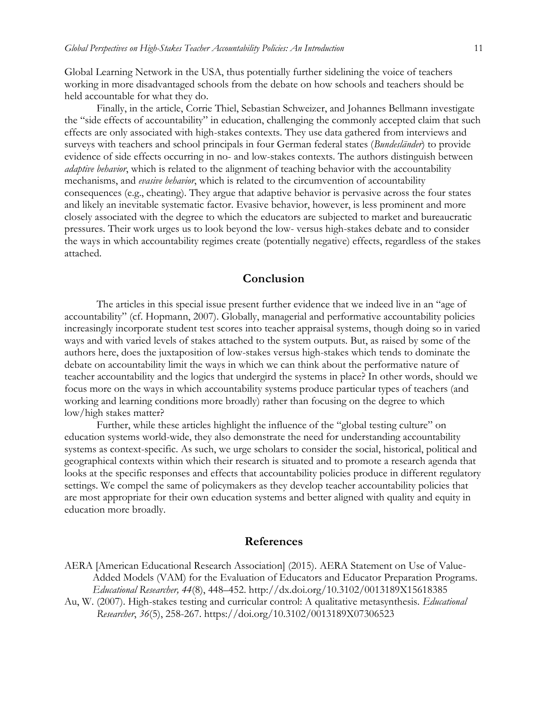Global Learning Network in the USA, thus potentially further sidelining the voice of teachers working in more disadvantaged schools from the debate on how schools and teachers should be held accountable for what they do.

Finally, in the article, Corrie Thiel, Sebastian Schweizer, and Johannes Bellmann investigate the "side effects of accountability" in education, challenging the commonly accepted claim that such effects are only associated with high-stakes contexts. They use data gathered from interviews and surveys with teachers and school principals in four German federal states (*Bundesländer*) to provide evidence of side effects occurring in no- and low-stakes contexts. The authors distinguish between *adaptive behavior*, which is related to the alignment of teaching behavior with the accountability mechanisms, and *evasive behavior*, which is related to the circumvention of accountability consequences (e.g., cheating). They argue that adaptive behavior is pervasive across the four states and likely an inevitable systematic factor. Evasive behavior, however, is less prominent and more closely associated with the degree to which the educators are subjected to market and bureaucratic pressures. Their work urges us to look beyond the low- versus high-stakes debate and to consider the ways in which accountability regimes create (potentially negative) effects, regardless of the stakes attached.

#### **Conclusion**

The articles in this special issue present further evidence that we indeed live in an "age of accountability" (cf. Hopmann, 2007). Globally, managerial and performative accountability policies increasingly incorporate student test scores into teacher appraisal systems, though doing so in varied ways and with varied levels of stakes attached to the system outputs. But, as raised by some of the authors here, does the juxtaposition of low-stakes versus high-stakes which tends to dominate the debate on accountability limit the ways in which we can think about the performative nature of teacher accountability and the logics that undergird the systems in place? In other words, should we focus more on the ways in which accountability systems produce particular types of teachers (and working and learning conditions more broadly) rather than focusing on the degree to which low/high stakes matter?

Further, while these articles highlight the influence of the "global testing culture" on education systems world-wide, they also demonstrate the need for understanding accountability systems as context-specific. As such, we urge scholars to consider the social, historical, political and geographical contexts within which their research is situated and to promote a research agenda that looks at the specific responses and effects that accountability policies produce in different regulatory settings. We compel the same of policymakers as they develop teacher accountability policies that are most appropriate for their own education systems and better aligned with quality and equity in education more broadly.

#### **References**

- AERA [American Educational Research Association] (2015). AERA Statement on Use of Value-Added Models (VAM) for the Evaluation of Educators and Educator Preparation Programs. *Educational Researcher, 44*(8), 448–452. http://dx.doi.org/10.3102/0013189X15618385
- Au, W. (2007). High-stakes testing and curricular control: A qualitative metasynthesis. *Educational Researcher*, *36*(5), 258-267. https://doi.org/10.3102/0013189X07306523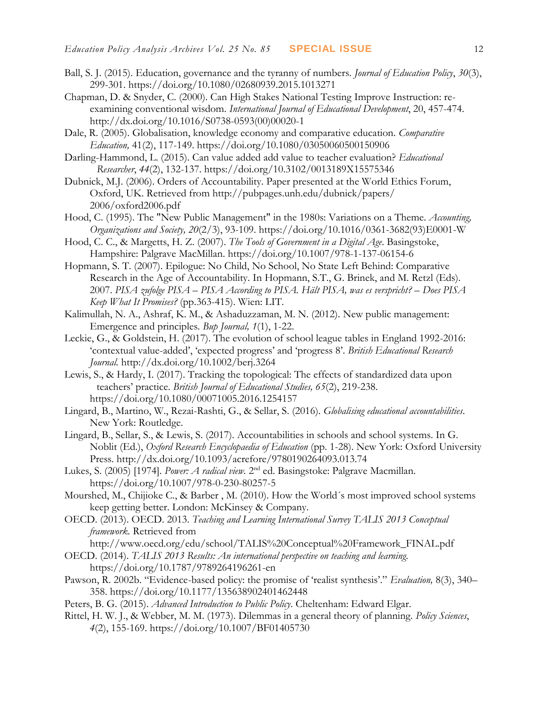- Ball, S. J. (2015). Education, governance and the tyranny of numbers. *Journal of Education Policy*, *30*(3), 299-301. https://doi.org/10.1080/02680939.2015.1013271
- Chapman, D. & Snyder, C. (2000). Can High Stakes National Testing Improve Instruction: reexamining conventional wisdom. *International Journal of Educational Development*, 20, 457-474. http://dx.doi.org/10.1016/S0738-0593(00)00020-1
- Dale, R. (2005). Globalisation, knowledge economy and comparative education. *Comparative Education,* 41(2), 117-149. https://doi.org/10.1080/03050060500150906
- Darling-Hammond, L. (2015). Can value added add value to teacher evaluation? *Educational Researcher*, *44*(2), 132-137. https://doi.org/10.3102/0013189X15575346
- Dubnick, M.J. (2006). Orders of Accountability. Paper presented at the World Ethics Forum, Oxford, UK. Retrieved from http://pubpages.unh.edu/dubnick/papers/ 2006/oxford2006.pdf
- Hood, C. (1995). The "New Public Management" in the 1980s: Variations on a Theme. *Accounting, Organizations and Society, 20*(2/3), 93-109. https://doi.org/10.1016/0361-3682(93)E0001-W
- Hood, C. C., & Margetts, H. Z. (2007). *The Tools of Government in a Digital Age*. Basingstoke, Hampshire: Palgrave MacMillan. https://doi.org/10.1007/978-1-137-06154-6
- Hopmann, S. T. (2007). Epilogue: No Child, No School, No State Left Behind: Comparative Research in the Age of Accountability. In Hopmann, S.T., G. Brinek, and M. Retzl (Eds). 2007. *PISA zufolge PISA – PISA According to PISA. Hält PISA, was es verspricht? – Does PISA Keep What It Promises?* (pp.363-415). Wien: LIT.
- Kalimullah, N. A., Ashraf, K. M., & Ashaduzzaman, M. N. (2012). New public management: Emergence and principles. *Bup Journal, 1*(1), 1-22.
- Leckie, G., & Goldstein, H. (2017). The evolution of school league tables in England 1992-2016: 'contextual value-added', 'expected progress' and 'progress 8'. *British Educational Research Journal.* http://dx.doi.org/10.1002/berj.3264
- Lewis, S., & Hardy, I. (2017). Tracking the topological: The effects of standardized data upon teachers' practice. *British Journal of Educational Studies, 65*(2), 219-238. https://doi.org/10.1080/00071005.2016.1254157
- Lingard, B., Martino, W., Rezai-Rashti, G., & Sellar, S. (2016). *Globalising educational accountabilities*. New York: Routledge.
- Lingard, B., Sellar, S., & Lewis, S. (2017). Accountabilities in schools and school systems. In G. Noblit (Ed.), *Oxford Research Encyclopaedia of Education* (pp. 1-28). New York: Oxford University Press. http://dx.doi.org/10.1093/acrefore/9780190264093.013.74
- Lukes, S. (2005) [1974]. *Power: A radical view.* 2<sup>nd</sup> ed. Basingstoke: Palgrave Macmillan. https://doi.org/10.1007/978-0-230-80257-5
- Mourshed, M., Chijioke C., & Barber , M. (2010). How the World´s most improved school systems keep getting better. London: McKinsey & Company.
- OECD. (2013). OECD. 2013. *Teaching and Learning International Survey TALIS 2013 Conceptual framework.* Retrieved from
	- [http://www.oecd.org/edu/school/TALIS%20Conceptual%20Framework\\_FINAL.pdf](http://www.oecd.org/edu/school/TALIS%20Conceptual%20Framework_FINAL.pdf)
- OECD. (2014). *TALIS 2013 Results: An international perspective on teaching and learning.*  https://doi.org/10.1787/9789264196261-en
- Pawson, R. 2002b. "Evidence-based policy: the promise of 'realist synthesis'." *Evaluation,* 8(3), 340– 358. https://doi.org/10.1177/135638902401462448
- Peters, B. G. (2015). *Advanced Introduction to Public Policy*. Cheltenham: Edward Elgar.
- Rittel, H. W. J., & Webber, M. M. (1973). Dilemmas in a general theory of planning. *Policy Sciences*, *4*(2), 155-169. https://doi.org/10.1007/BF01405730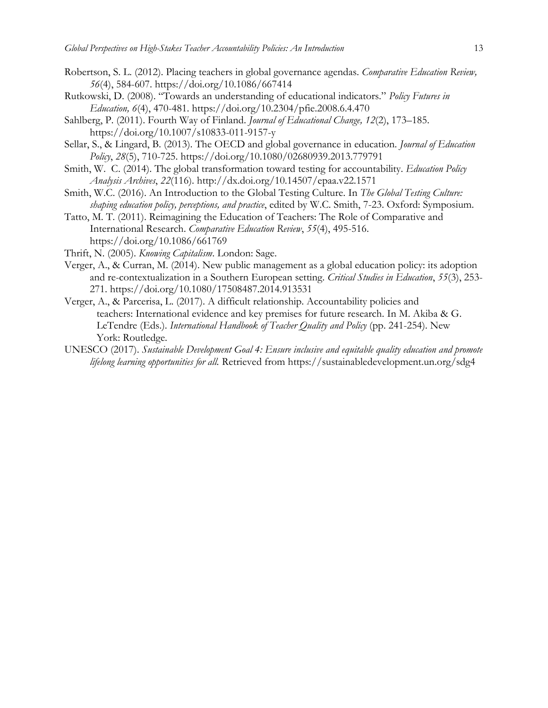- 
- Robertson, S. L. (2012). Placing teachers in global governance agendas. *Comparative Education Review, 56*(4), 584-607. https://doi.org/10.1086/667414
- Rutkowski, D. (2008). "Towards an understanding of educational indicators." *Policy Futures in Education, 6*(4), 470-481. https://doi.org/10.2304/pfie.2008.6.4.470
- Sahlberg, P. (2011). Fourth Way of Finland. *Journal of Educational Change, 12*(2), 173–185. https://doi.org/10.1007/s10833-011-9157-y
- Sellar, S., & Lingard, B. (2013). The OECD and global governance in education. *Journal of Education Policy*, *28*(5), 710-725. https://doi.org/10.1080/02680939.2013.779791
- Smith, W. C. (2014). The global transformation toward testing for accountability. *Education Policy Analysis Archives*, *22*(116).<http://dx.doi.org/10.14507/epaa.v22.1571>
- Smith, W.C. (2016). An Introduction to the Global Testing Culture. In *The Global Testing Culture: shaping education policy, perceptions, and practice*, edited by W.C. Smith, 7-23. Oxford: Symposium.
- Tatto, M. T. (2011). Reimagining the Education of Teachers: The Role of Comparative and International Research. *Comparative Education Review*, *55*(4), 495-516. https://doi.org/10.1086/661769
- Thrift, N. (2005). *Knowing Capitalism*. London: Sage.
- Verger, A., & Curran, M. (2014). New public management as a global education policy: its adoption and re-contextualization in a Southern European setting. *Critical Studies in Education*, *55*(3), 253- 271. https://doi.org/10.1080/17508487.2014.913531
- Verger, A., & Parcerisa, L. (2017). A difficult relationship. Accountability policies and teachers: International evidence and key premises for future research*.* In M. Akiba & G. LeTendre (Eds.). *International Handbook of Teacher Quality and Policy* (pp. 241-254). New York: Routledge.
- UNESCO (2017). *Sustainable Development Goal 4: Ensure inclusive and equitable quality education and promote lifelong learning opportunities for all.* Retrieved from<https://sustainabledevelopment.un.org/sdg4>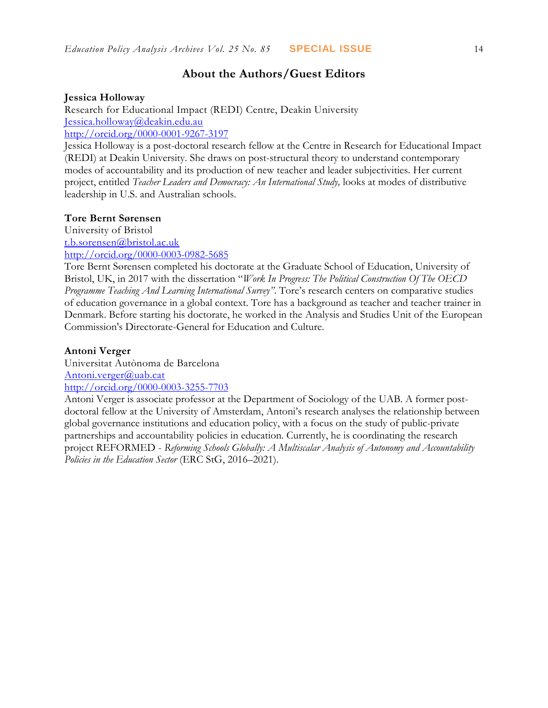### **About the Authors/Guest Editors**

#### **Jessica Holloway**

Research for Educational Impact (REDI) Centre, Deakin University [Jessica.holloway@deakin.edu.au](mailto:Jessica.holloway@deakin.edu.au)

<http://orcid.org/0000-0001-9267-3197>

Jessica Holloway is a post-doctoral research fellow at the Centre in Research for Educational Impact (REDI) at Deakin University. She draws on post-structural theory to understand contemporary modes of accountability and its production of new teacher and leader subjectivities. Her current project, entitled *Teacher Leaders and Democracy: An International Study,* looks at modes of distributive leadership in U.S. and Australian schools.

#### **Tore Bernt Sørensen**

University of Bristol [t.b.sorensen@bristol.ac.uk](mailto:t.b.sorensen@bristol.ac.uk) <http://orcid.org/0000-0003-0982-5685>

Tore Bernt Sørensen completed his doctorate at the Graduate School of Education, University of Bristol, UK, in 2017 with the dissertation "*Work In Progress: The Political Construction Of The OECD Programme Teaching And Learning International Survey"*. Tore's research centers on comparative studies of education governance in a global context. Tore has a background as teacher and teacher trainer in Denmark. Before starting his doctorate, he worked in the Analysis and Studies Unit of the European Commission's Directorate-General for Education and Culture.

#### **Antoni Verger**

Universitat Autònoma de Barcelona [Antoni.verger@uab.cat](mailto:Antoni.verger@uab.cat) <http://orcid.org/0000-0003-3255-7703>

Antoni Verger is associate professor at the Department of Sociology of the UAB. A former postdoctoral fellow at the University of Amsterdam, Antoni's research analyses the relationship between global governance institutions and education policy, with a focus on the study of public-private partnerships and accountability policies in education. Currently, he is coordinating the research project REFORMED - *Reforming Schools Globally: A Multiscalar Analysis of Autonomy and Accountability Policies in the Education Sector* (ERC StG, 2016–2021).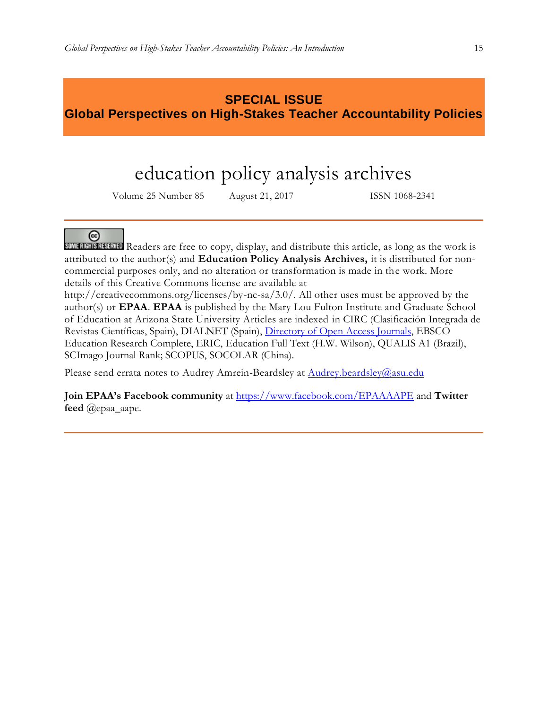## **SPECIAL ISSUE Global Perspectives on High-Stakes Teacher Accountability Policies**

# education policy analysis archives

Volume 25 Number 85 August 21, 2017 ISSN 1068-2341



SOME RIGHTS RESERVED Readers are free to copy, display, and distribute this article, as long as the work is attributed to the author(s) and **Education Policy Analysis Archives,** it is distributed for noncommercial purposes only, and no alteration or transformation is made in the work. More details of this Creative Commons license are available at

http://creativecommons.org/licenses/by-nc-sa/3.0/. All other uses must be approved by the author(s) or **EPAA**. **EPAA** is published by the Mary Lou Fulton Institute and Graduate School of Education at Arizona State University Articles are indexed in CIRC (Clasificación Integrada de Revistas Científicas, Spain), DIALNET (Spain), [Directory of Open Access Journals,](http://www.doaj.org/) EBSCO Education Research Complete, ERIC, Education Full Text (H.W. Wilson), QUALIS A1 (Brazil), SCImago Journal Rank; SCOPUS, SOCOLAR (China).

Please send errata notes to Audrey Amrein-Beardsley at [Audrey.beardsley@asu.edu](mailto:Audrey.beardsley@asu.edu)

**Join EPAA's Facebook community** at<https://www.facebook.com/EPAAAAPE> and **Twitter feed** @epaa\_aape.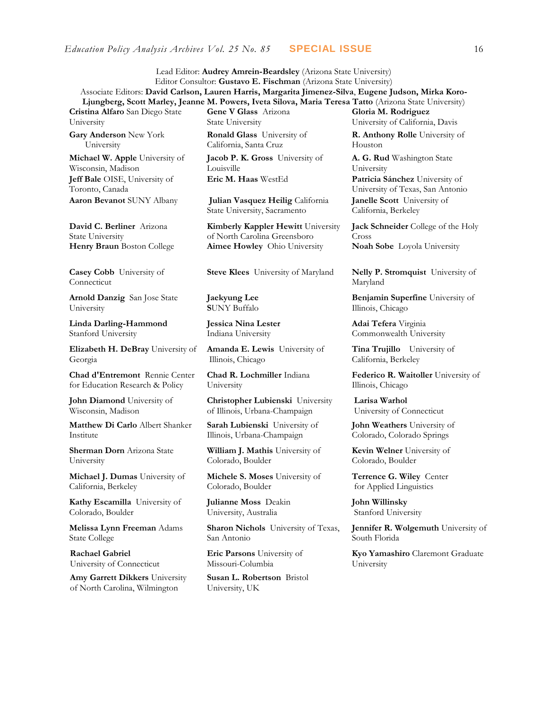Lead Editor: **Audrey Amrein-Beardsley** (Arizona State University) Editor Consultor: **Gustavo E. Fischman** (Arizona State University)

Associate Editors: **David Carlson, Lauren Harris, Margarita Jimenez-Silva**, **Eugene Judson, Mirka Koro-Ljungberg, Scott Marley, Jeanne M. Powers, Iveta Silova, Maria Teresa Tatto** (Arizona State University) **Cristina Alfaro** San Diego State University **Gene V Glass** Arizona State University **Gloria M. Rodriguez** University of California, Davis

**Gary Anderson** New York University

**Michael W. Apple** University of Wisconsin, Madison **Jeff Bale** OISE, University of Toronto, Canada

**David C. Berliner** Arizona State University

**Casey Cobb** University of Connecticut

**Arnold Danzig** San Jose State University

**Linda Darling-Hammond**  Stanford University

**Elizabeth H. DeBray** University of Georgia

**Chad d'Entremont** Rennie Center for Education Research & Policy

**John Diamond** University of Wisconsin, Madison

**Matthew Di Carlo** Albert Shanker Institute

**Sherman Dorn** Arizona State University

**Michael J. Dumas** University of California, Berkeley

**Kathy Escamilla** University of Colorado, Boulder

**Melissa Lynn Freeman** Adams State College

**Rachael Gabriel** University of Connecticut

**Amy Garrett Dikkers** University of North Carolina, Wilmington

**Ronald Glass** University of California, Santa Cruz

**Jacob P. K. Gross** University of Louisville **Eric M. Haas** WestEd **Patricia Sánchez** University of

**Aaron Bevanot** SUNY Albany **Julian Vasquez Heilig** California State University, Sacramento

**Kimberly Kappler Hewitt** University of North Carolina Greensboro **Henry Braun** Boston College **Aimee Howley** Ohio University **Noah Sobe** Loyola University

**Steve Klees** University of Maryland **Nelly P. Stromquist** University of

**Jaekyung Lee S**UNY Buffalo

**Jessica Nina Lester** Indiana University

**Amanda E. Lewis** University of Illinois, Chicago

**Chad R. Lochmiller** Indiana University

**Christopher Lubienski** University of Illinois, Urbana-Champaign

**Sarah Lubienski** University of Illinois, Urbana-Champaign

**William J. Mathis** University of Colorado, Boulder

**Michele S. Moses** University of Colorado, Boulder

**Julianne Moss** Deakin University, Australia

**Sharon Nichols** University of Texas, San Antonio

**Eric Parsons** University of Missouri-Columbia

**Susan L. Robertson** Bristol University, UK

**R. Anthony Rolle** University of Houston

**A. G. Rud** Washington State University University of Texas, San Antonio **Janelle Scott** University of California, Berkeley

**Jack Schneider** College of the Holy Cross

Maryland

**Benjamin Superfine** University of Illinois, Chicago

**Adai Tefera** Virginia Commonwealth University

**Tina Trujillo** University of California, Berkeley

**Federico R. Waitoller** University of Illinois, Chicago

**Larisa Warhol** University of Connecticut

**John Weathers** University of Colorado, Colorado Springs

**Kevin Welner** University of Colorado, Boulder

**Terrence G. Wiley** Center for Applied Linguistics

**John Willinsky**  Stanford University

**Jennifer R. Wolgemuth University of** South Florida

**Kyo Yamashiro** Claremont Graduate University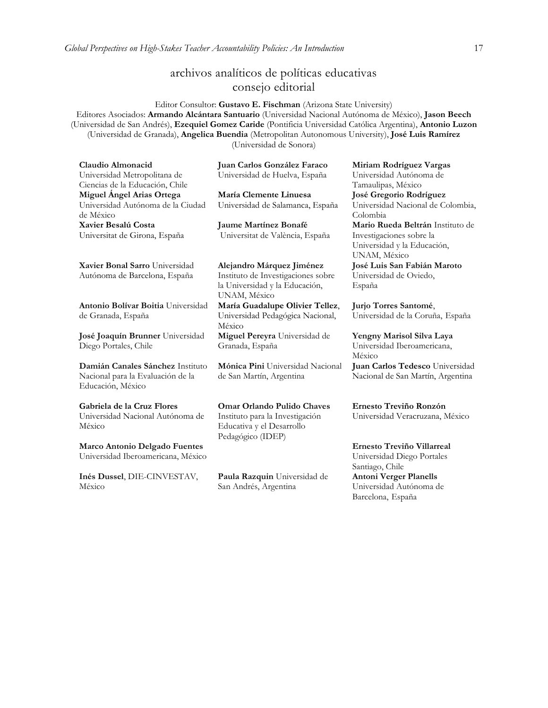### archivos analíticos de políticas educativas consejo editorial

Editor Consultor: **Gustavo E. Fischman** (Arizona State University) Editores Asociados: **Armando Alcántara Santuario** (Universidad Nacional Autónoma de México), **Jason Beech** (Universidad de San Andrés), **Ezequiel Gomez Caride** (Pontificia Universidad Católica Argentina), **Antonio Luzon** (Universidad de Granada), **Angelica Buendia** (Metropolitan Autonomous University), **José Luis Ramírez** (Universidad de Sonora)

| Claudio Almonacid<br>Universidad Metropolitana de<br>Ciencias de la Educación, Chile       | Juan Carlos González Faraco<br>Universidad de Huelva, España                      | Miriam Rodríguez Vargas<br>Universidad Autónoma de<br>Tamaulipas, México      |
|--------------------------------------------------------------------------------------------|-----------------------------------------------------------------------------------|-------------------------------------------------------------------------------|
| Miguel Ángel Arias Ortega                                                                  | María Clemente Linuesa                                                            | José Gregorio Rodríguez                                                       |
| Universidad Autónoma de la Ciudad<br>de México                                             | Universidad de Salamanca, España                                                  | Universidad Nacional de Colombia,<br>Colombia                                 |
| Xavier Besalú Costa                                                                        | Jaume Martínez Bonafé                                                             | Mario Rueda Beltrán Instituto de                                              |
| Universitat de Girona, España                                                              | Universitat de València, España                                                   | Investigaciones sobre la<br>Universidad y la Educación,<br>UNAM, México       |
| Xavier Bonal Sarro Universidad                                                             | Alejandro Márquez Jiménez                                                         | José Luis San Fabián Maroto                                                   |
| Autónoma de Barcelona, España                                                              | Instituto de Investigaciones sobre                                                | Universidad de Oviedo,                                                        |
|                                                                                            | la Universidad y la Educación,<br>UNAM, México                                    | España                                                                        |
| Antonio Bolívar Boitia Universidad                                                         | María Guadalupe Olivier Tellez,                                                   | Jurjo Torres Santomé,                                                         |
| de Granada, España                                                                         | Universidad Pedagógica Nacional,<br>México                                        | Universidad de la Coruña, España                                              |
| José Joaquín Brunner Universidad<br>Diego Portales, Chile                                  | Miguel Pereyra Universidad de<br>Granada, España                                  | Yengny Marisol Silva Laya<br>Universidad Iberoamericana,<br>México            |
| Damián Canales Sánchez Instituto<br>Nacional para la Evaluación de la<br>Educación, México | Mónica Pini Universidad Nacional<br>de San Martín, Argentina                      | Juan Carlos Tedesco Universidad<br>Nacional de San Martín, Argentina          |
| Gabriela de la Cruz Flores                                                                 | <b>Omar Orlando Pulido Chaves</b>                                                 | Ernesto Treviño Ronzón                                                        |
| Universidad Nacional Autónoma de<br>México                                                 | Instituto para la Investigación<br>Educativa y el Desarrollo<br>Pedagógico (IDEP) | Universidad Veracruzana, México                                               |
| Marco Antonio Delgado Fuentes<br>Universidad Iberoamericana, México                        |                                                                                   | Ernesto Treviño Villarreal<br>Universidad Diego Portales<br>Santiago, Chile   |
| Inés Dussel, DIE-CINVESTAV,<br>México                                                      | Paula Razquin Universidad de<br>San Andrés, Argentina                             | <b>Antoni Verger Planells</b><br>Universidad Autónoma de<br>Barcelona, España |